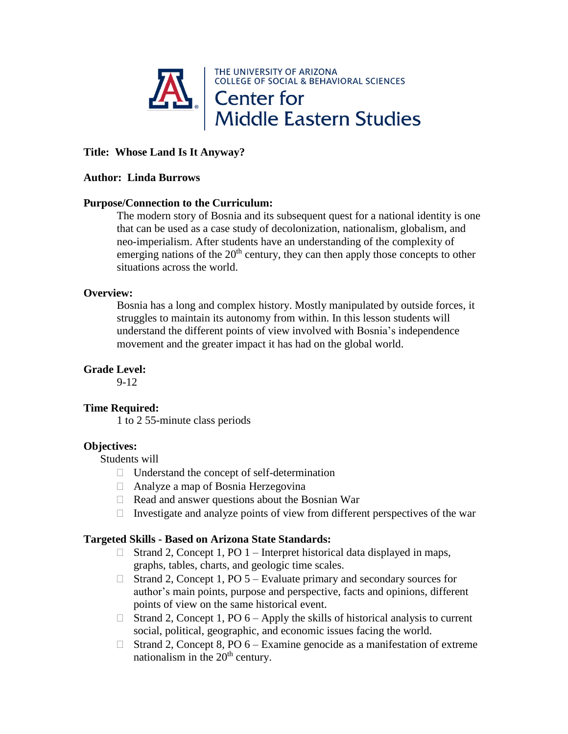

# **Title: Whose Land Is It Anyway?**

#### **Author: Linda Burrows**

## **Purpose/Connection to the Curriculum:**

The modern story of Bosnia and its subsequent quest for a national identity is one that can be used as a case study of decolonization, nationalism, globalism, and neo-imperialism. After students have an understanding of the complexity of emerging nations of the  $20<sup>th</sup>$  century, they can then apply those concepts to other situations across the world.

#### **Overview:**

Bosnia has a long and complex history. Mostly manipulated by outside forces, it struggles to maintain its autonomy from within. In this lesson students will understand the different points of view involved with Bosnia's independence movement and the greater impact it has had on the global world.

### **Grade Level:**

9-12

## **Time Required:**

1 to 2 55-minute class periods

## **Objectives:**

Students will

- $\Box$  Understand the concept of self-determination
- Analyze a map of Bosnia Herzegovina
- $\Box$  Read and answer questions about the Bosnian War
- Investigate and analyze points of view from different perspectives of the war

### **Targeted Skills - Based on Arizona State Standards:**

- $\Box$  Strand 2, Concept 1, PO 1 Interpret historical data displayed in maps, graphs, tables, charts, and geologic time scales.
- $\Box$  Strand 2, Concept 1, PO 5 Evaluate primary and secondary sources for author's main points, purpose and perspective, facts and opinions, different points of view on the same historical event.
- $\Box$  Strand 2, Concept 1, PO 6 Apply the skills of historical analysis to current social, political, geographic, and economic issues facing the world.
- $\Box$  Strand 2, Concept 8, PO 6 Examine genocide as a manifestation of extreme nationalism in the  $20<sup>th</sup>$  century.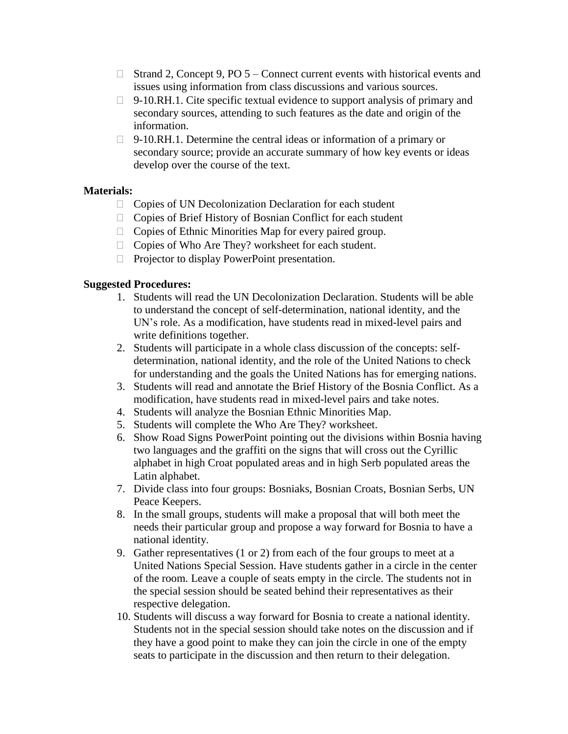- $\Box$  Strand 2, Concept 9, PO 5 Connect current events with historical events and issues using information from class discussions and various sources.
- $\Box$  9-10.RH.1. Cite specific textual evidence to support analysis of primary and secondary sources, attending to such features as the date and origin of the information.
- $\Box$  9-10.RH.1. Determine the central ideas or information of a primary or secondary source; provide an accurate summary of how key events or ideas develop over the course of the text.

# **Materials:**

- $\Box$  Copies of UN Decolonization Declaration for each student
- □ Copies of Brief History of Bosnian Conflict for each student
- $\Box$  Copies of Ethnic Minorities Map for every paired group.
- $\Box$  Copies of Who Are They? worksheet for each student.
- $\Box$  Projector to display PowerPoint presentation.

# **Suggested Procedures:**

- 1. Students will read the UN Decolonization Declaration. Students will be able to understand the concept of self-determination, national identity, and the UN's role. As a modification, have students read in mixed-level pairs and write definitions together.
- 2. Students will participate in a whole class discussion of the concepts: selfdetermination, national identity, and the role of the United Nations to check for understanding and the goals the United Nations has for emerging nations.
- 3. Students will read and annotate the Brief History of the Bosnia Conflict. As a modification, have students read in mixed-level pairs and take notes.
- 4. Students will analyze the Bosnian Ethnic Minorities Map.
- 5. Students will complete the Who Are They? worksheet.
- 6. Show Road Signs PowerPoint pointing out the divisions within Bosnia having two languages and the graffiti on the signs that will cross out the Cyrillic alphabet in high Croat populated areas and in high Serb populated areas the Latin alphabet.
- 7. Divide class into four groups: Bosniaks, Bosnian Croats, Bosnian Serbs, UN Peace Keepers.
- 8. In the small groups, students will make a proposal that will both meet the needs their particular group and propose a way forward for Bosnia to have a national identity.
- 9. Gather representatives (1 or 2) from each of the four groups to meet at a United Nations Special Session. Have students gather in a circle in the center of the room. Leave a couple of seats empty in the circle. The students not in the special session should be seated behind their representatives as their respective delegation.
- 10. Students will discuss a way forward for Bosnia to create a national identity. Students not in the special session should take notes on the discussion and if they have a good point to make they can join the circle in one of the empty seats to participate in the discussion and then return to their delegation.